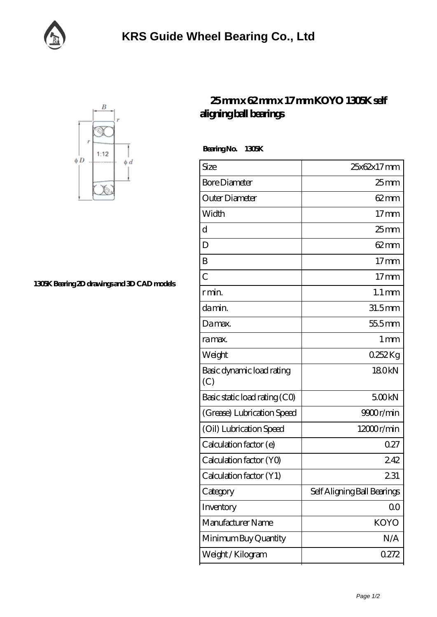



**[1305K Bearing 2D drawings and 3D CAD models](https://facebook-desktop.com/pic-101911.html)**

## **[25 mm x 62 mm x 17 mm KOYO 1305K self](https://facebook-desktop.com/al-101911-koyo-1305k-self-aligning-ball-bearings.html) [aligning ball bearings](https://facebook-desktop.com/al-101911-koyo-1305k-self-aligning-ball-bearings.html)**

 **Bearing No. 1305K**

| Size                             | 25x62x17mm                  |
|----------------------------------|-----------------------------|
| <b>Bore Diameter</b>             | $25$ mm                     |
| Outer Diameter                   | 62 mm                       |
| Width                            | $17$ mm                     |
| d                                | $25 \text{mm}$              |
| D                                | $62 \text{mm}$              |
| B                                | $17 \text{mm}$              |
| $\overline{C}$                   | $17 \text{mm}$              |
| r min.                           | $1.1 \,\mathrm{mm}$         |
| damin.                           | $31.5$ mm                   |
| Damax.                           | 55.5mm                      |
| ra max.                          | 1 <sub>mm</sub>             |
| Weight                           | 0.252Kg                     |
| Basic dynamic load rating<br>(C) | 180kN                       |
| Basic static load rating (CO)    | 500kN                       |
| (Grease) Lubrication Speed       | 9900r/min                   |
| (Oil) Lubrication Speed          | 12000r/min                  |
| Calculation factor (e)           | 027                         |
| Calculation factor (YO)          | 242                         |
| Calculation factor (Y1)          | 231                         |
| Category                         | Self Aligning Ball Bearings |
| Inventory                        | 00                          |
| Manufacturer Name                | <b>KOYO</b>                 |
| Minimum Buy Quantity             | N/A                         |
| Weight / Kilogram                | 0272                        |
|                                  |                             |